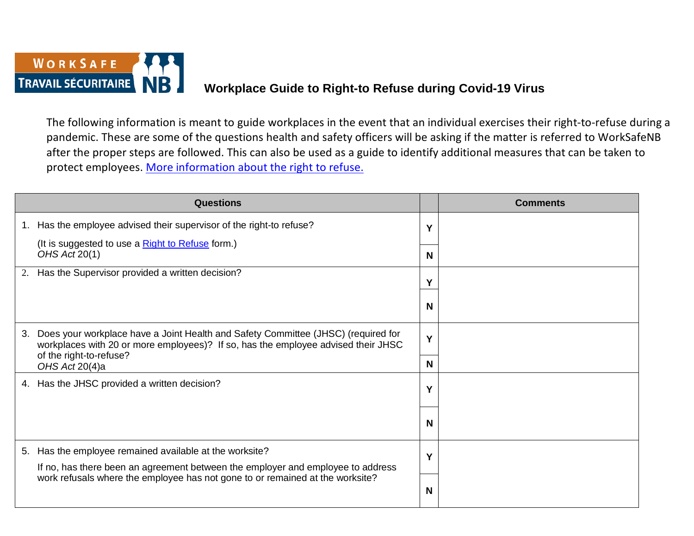

## **Workplace Guide to Right-to Refuse during Covid-19 Virus**

The following information is meant to guide workplaces in the event that an individual exercises their right-to-refuse during a pandemic. These are some of the questions health and safety officers will be asking if the matter is referred to WorkSafeNB after the proper steps are followed. This can also be used as a guide to identify additional measures that can be taken to protect employees. [More information about the right to refuse.](https://www.worksafenb.ca/safety-topics/covid-19/covid-19-right-to-refuse/)

| <b>Questions</b>                                                                                                                                                                                                          |   | <b>Comments</b> |
|---------------------------------------------------------------------------------------------------------------------------------------------------------------------------------------------------------------------------|---|-----------------|
| Has the employee advised their supervisor of the right-to refuse?<br>1.                                                                                                                                                   | Y |                 |
| (It is suggested to use a <b>Right to Refuse</b> form.)<br>OHS Act 20(1)                                                                                                                                                  | N |                 |
| Has the Supervisor provided a written decision?<br>2.                                                                                                                                                                     |   |                 |
|                                                                                                                                                                                                                           | N |                 |
| Does your workplace have a Joint Health and Safety Committee (JHSC) (required for<br>3.<br>workplaces with 20 or more employees)? If so, has the employee advised their JHSC<br>of the right-to-refuse?<br>OHS Act 20(4)a |   |                 |
|                                                                                                                                                                                                                           |   |                 |
| 4. Has the JHSC provided a written decision?                                                                                                                                                                              | Υ |                 |
|                                                                                                                                                                                                                           | N |                 |
| Has the employee remained available at the worksite?<br>5.                                                                                                                                                                | Υ |                 |
| If no, has there been an agreement between the employer and employee to address<br>work refusals where the employee has not gone to or remained at the worksite?                                                          |   |                 |
|                                                                                                                                                                                                                           | N |                 |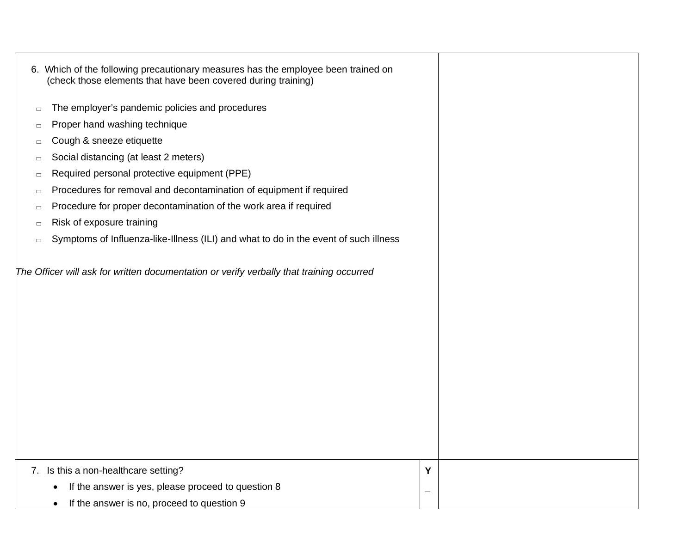|        | 6. Which of the following precautionary measures has the employee been trained on<br>(check those elements that have been covered during training) |   |  |  |
|--------|----------------------------------------------------------------------------------------------------------------------------------------------------|---|--|--|
| $\Box$ | The employer's pandemic policies and procedures                                                                                                    |   |  |  |
| $\Box$ | Proper hand washing technique                                                                                                                      |   |  |  |
| $\Box$ | Cough & sneeze etiquette                                                                                                                           |   |  |  |
| $\Box$ | Social distancing (at least 2 meters)                                                                                                              |   |  |  |
| $\Box$ | Required personal protective equipment (PPE)                                                                                                       |   |  |  |
| $\Box$ | Procedures for removal and decontamination of equipment if required                                                                                |   |  |  |
| $\Box$ | Procedure for proper decontamination of the work area if required                                                                                  |   |  |  |
| $\Box$ | Risk of exposure training                                                                                                                          |   |  |  |
| $\Box$ | Symptoms of Influenza-like-Illness (ILI) and what to do in the event of such illness                                                               |   |  |  |
|        | The Officer will ask for written documentation or verify verbally that training occurred                                                           |   |  |  |
|        | 7. Is this a non-healthcare setting?                                                                                                               | Y |  |  |
|        | If the answer is yes, please proceed to question 8                                                                                                 |   |  |  |
|        | If the answer is no, proceed to question 9                                                                                                         |   |  |  |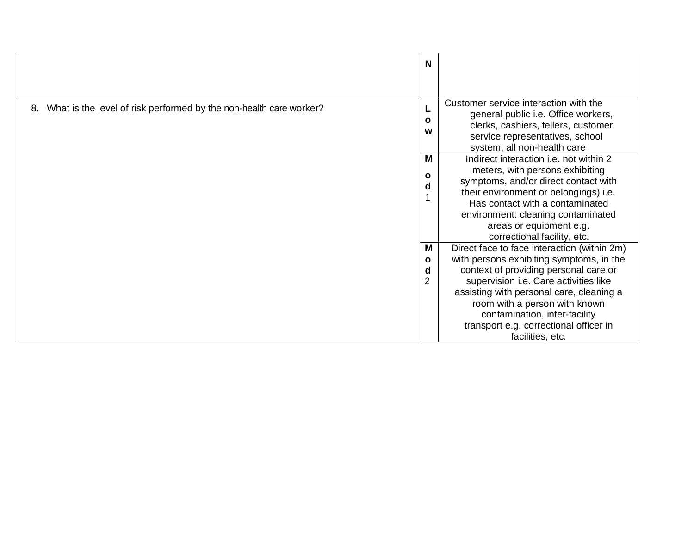|                                                                       | N                                        |                                                                                                                                                                                                                                                                                                                                                       |
|-----------------------------------------------------------------------|------------------------------------------|-------------------------------------------------------------------------------------------------------------------------------------------------------------------------------------------------------------------------------------------------------------------------------------------------------------------------------------------------------|
| 8. What is the level of risk performed by the non-health care worker? | $\mathbf{o}$<br>w                        | Customer service interaction with the<br>general public i.e. Office workers,<br>clerks, cashiers, tellers, customer<br>service representatives, school<br>system, all non-health care                                                                                                                                                                 |
|                                                                       | M<br>$\mathbf{o}$<br>d                   | Indirect interaction <i>i.e.</i> not within 2<br>meters, with persons exhibiting<br>symptoms, and/or direct contact with<br>their environment or belongings) i.e.<br>Has contact with a contaminated<br>environment: cleaning contaminated<br>areas or equipment e.g.<br>correctional facility, etc.                                                  |
|                                                                       | M<br>$\mathbf{o}$<br>d<br>$\overline{2}$ | Direct face to face interaction (within 2m)<br>with persons exhibiting symptoms, in the<br>context of providing personal care or<br>supervision i.e. Care activities like<br>assisting with personal care, cleaning a<br>room with a person with known<br>contamination, inter-facility<br>transport e.g. correctional officer in<br>facilities, etc. |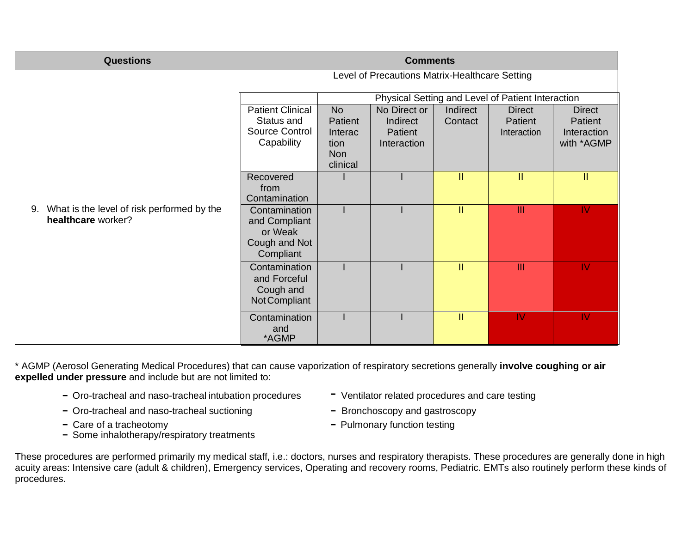| <b>Questions</b>                                                    | <b>Comments</b>                                                         |                                                                   |                                                    |                     |                                         |                                                       |  |
|---------------------------------------------------------------------|-------------------------------------------------------------------------|-------------------------------------------------------------------|----------------------------------------------------|---------------------|-----------------------------------------|-------------------------------------------------------|--|
|                                                                     | Level of Precautions Matrix-Healthcare Setting                          |                                                                   |                                                    |                     |                                         |                                                       |  |
|                                                                     | Physical Setting and Level of Patient Interaction                       |                                                                   |                                                    |                     |                                         |                                                       |  |
|                                                                     | <b>Patient Clinical</b><br>Status and<br>Source Control<br>Capability   | <b>No</b><br>Patient<br>Interac<br>tion<br><b>Non</b><br>clinical | No Direct or<br>Indirect<br>Patient<br>Interaction | Indirect<br>Contact | <b>Direct</b><br>Patient<br>Interaction | <b>Direct</b><br>Patient<br>Interaction<br>with *AGMP |  |
|                                                                     | Recovered<br>from<br>Contamination                                      |                                                                   |                                                    | II.                 | $\mathbf{II}$                           | $\mathbf{II}$                                         |  |
| 9. What is the level of risk performed by the<br>healthcare worker? | Contamination<br>and Compliant<br>or Weak<br>Cough and Not<br>Compliant |                                                                   |                                                    | II.                 | $\mathbf{III}$                          | <b>IV</b>                                             |  |
|                                                                     | Contamination<br>and Forceful<br>Cough and<br>Not Compliant             |                                                                   |                                                    | II.                 | $\mathbf{III}$                          | <b>IV</b>                                             |  |
|                                                                     | Contamination<br>and<br>*AGMP                                           |                                                                   |                                                    | II.                 | IV                                      | IV.                                                   |  |

\* AGMP (Aerosol Generating Medical Procedures) that can cause vaporization of respiratory secretions generally **involve coughing or air expelled under pressure** and include but are not limited to:

- Oro-tracheal and naso-tracheal intubation procedures Ventilator related procedures and care testing
- Oro-tracheal and naso-tracheal suctioning The Bronchoscopy and gastroscopy
- 
- Some inhalotherapy/respiratory treatments
- 
- 
- Care of a tracheotomy  $-$  Pulmonary function testing

These procedures are performed primarily my medical staff, i.e.: doctors, nurses and respiratory therapists. These procedures are generally done in high acuity areas: Intensive care (adult & children), Emergency services, Operating and recovery rooms, Pediatric. EMTs also routinely perform these kinds of procedures.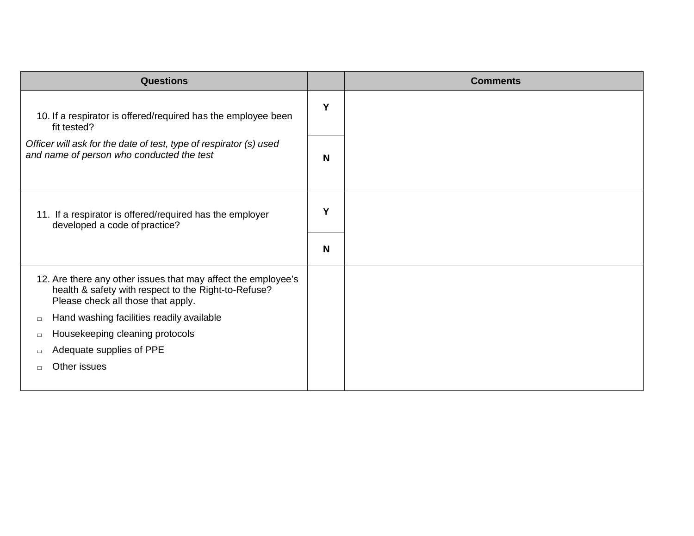| <b>Questions</b>                                                                                                                                            |   | <b>Comments</b> |
|-------------------------------------------------------------------------------------------------------------------------------------------------------------|---|-----------------|
| 10. If a respirator is offered/required has the employee been<br>fit tested?                                                                                | Y |                 |
| Officer will ask for the date of test, type of respirator (s) used<br>and name of person who conducted the test                                             | N |                 |
| 11. If a respirator is offered/required has the employer<br>developed a code of practice?                                                                   | Y |                 |
|                                                                                                                                                             | N |                 |
| 12. Are there any other issues that may affect the employee's<br>health & safety with respect to the Right-to-Refuse?<br>Please check all those that apply. |   |                 |
| Hand washing facilities readily available<br>$\Box$                                                                                                         |   |                 |
| Housekeeping cleaning protocols<br>$\Box$                                                                                                                   |   |                 |
| Adequate supplies of PPE<br>П                                                                                                                               |   |                 |
| Other issues<br>$\Box$                                                                                                                                      |   |                 |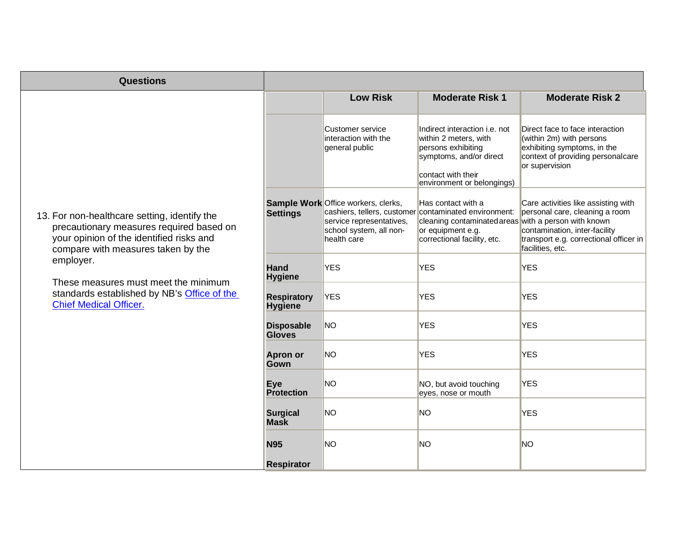| <b>Questions</b>                                                                                                                                                                                                                                                                                                |                                      |                                                                                                           |                                                                                                                                                                                         |                                                                                                                                                                      |
|-----------------------------------------------------------------------------------------------------------------------------------------------------------------------------------------------------------------------------------------------------------------------------------------------------------------|--------------------------------------|-----------------------------------------------------------------------------------------------------------|-----------------------------------------------------------------------------------------------------------------------------------------------------------------------------------------|----------------------------------------------------------------------------------------------------------------------------------------------------------------------|
|                                                                                                                                                                                                                                                                                                                 |                                      | <b>Low Risk</b>                                                                                           | <b>Moderate Risk 1</b>                                                                                                                                                                  | <b>Moderate Risk 2</b>                                                                                                                                               |
| 13. For non-healthcare setting, identify the<br>precautionary measures required based on<br>your opinion of the identified risks and<br>compare with measures taken by the<br>employer.<br>These measures must meet the minimum<br>standards established by NB's Office of the<br><b>Chief Medical Officer.</b> |                                      | <b>Customer service</b><br>interaction with the<br>general public                                         | Indirect interaction i.e. not<br>within 2 meters, with<br>persons exhibiting<br>symptoms, and/or direct<br>contact with their<br>environment or belongings)                             | Direct face to face interaction<br>(within 2m) with persons<br>exhibiting symptoms, in the<br>context of providing personalcare<br>or supervision                    |
|                                                                                                                                                                                                                                                                                                                 | <b>Settings</b>                      | Sample Work Office workers, clerks,<br>service representatives,<br>school system, all non-<br>health care | Has contact with a<br>cashiers, tellers, customer contaminated environment:<br>cleaning contaminated areas with a person with known<br>or equipment e.g.<br>correctional facility, etc. | Care activities like assisting with<br>personal care, cleaning a room<br>contamination, inter-facility<br>transport e.g. correctional officer in<br>facilities, etc. |
|                                                                                                                                                                                                                                                                                                                 | <b>Hand</b><br><b>Hygiene</b>        | <b>YES</b>                                                                                                | <b>YES</b>                                                                                                                                                                              | <b>YES</b>                                                                                                                                                           |
|                                                                                                                                                                                                                                                                                                                 | <b>Respiratory</b><br><b>Hygiene</b> | <b>YES</b>                                                                                                | <b>YES</b>                                                                                                                                                                              | <b>YES</b>                                                                                                                                                           |
|                                                                                                                                                                                                                                                                                                                 | <b>Disposable</b><br><b>Gloves</b>   | <b>NO</b>                                                                                                 | <b>YES</b>                                                                                                                                                                              | <b>YES</b>                                                                                                                                                           |
|                                                                                                                                                                                                                                                                                                                 | <b>Apron or</b><br>Gown              | <b>NO</b>                                                                                                 | <b>YES</b>                                                                                                                                                                              | <b>YES</b>                                                                                                                                                           |
|                                                                                                                                                                                                                                                                                                                 | <b>Eye</b><br><b>Protection</b>      | <b>NO</b>                                                                                                 | NO, but avoid touching<br>eyes, nose or mouth                                                                                                                                           | <b>YES</b>                                                                                                                                                           |
|                                                                                                                                                                                                                                                                                                                 | <b>Surgical</b><br><b>Mask</b>       | <b>NO</b>                                                                                                 | <b>NO</b>                                                                                                                                                                               | <b>YES</b>                                                                                                                                                           |
|                                                                                                                                                                                                                                                                                                                 | <b>N95</b>                           | <b>NO</b>                                                                                                 | <b>NO</b>                                                                                                                                                                               | <b>NO</b>                                                                                                                                                            |
|                                                                                                                                                                                                                                                                                                                 | <b>Respirator</b>                    |                                                                                                           |                                                                                                                                                                                         |                                                                                                                                                                      |